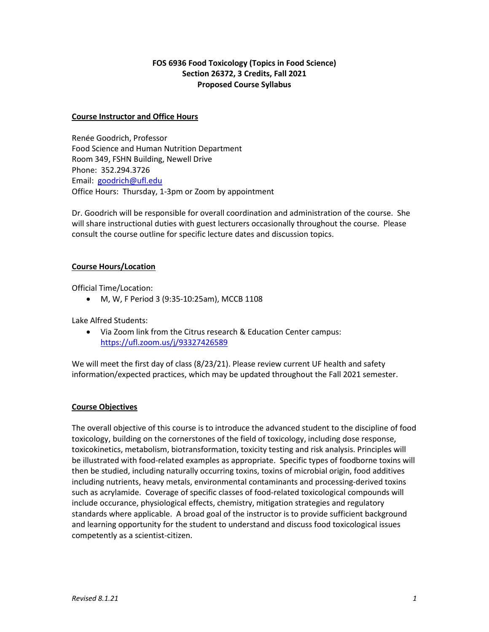# **FOS 6936 Food Toxicology (Topics in Food Science) Section 26372, 3 Credits, Fall 2021 Proposed Course Syllabus**

### **Course Instructor and Office Hours**

Renée Goodrich, Professor Food Science and Human Nutrition Department Room 349, FSHN Building, Newell Drive Phone: 352.294.3726 Email: [goodrich@ufl.edu](mailto:goodrich@ufl.edu) Office Hours: Thursday, 1-3pm or Zoom by appointment

Dr. Goodrich will be responsible for overall coordination and administration of the course. She will share instructional duties with guest lecturers occasionally throughout the course. Please consult the course outline for specific lecture dates and discussion topics.

### **Course Hours/Location**

Official Time/Location:

• M, W, F Period 3 (9:35-10:25am), MCCB 1108

Lake Alfred Students:

• Via Zoom link from the Citrus research & Education Center campus: <https://ufl.zoom.us/j/93327426589>

We will meet the first day of class (8/23/21). Please review current UF health and safety information/expected practices, which may be updated throughout the Fall 2021 semester.

## **Course Objectives**

The overall objective of this course is to introduce the advanced student to the discipline of food toxicology, building on the cornerstones of the field of toxicology, including dose response, toxicokinetics, metabolism, biotransformation, toxicity testing and risk analysis. Principles will be illustrated with food-related examples as appropriate. Specific types of foodborne toxins will then be studied, including naturally occurring toxins, toxins of microbial origin, food additives including nutrients, heavy metals, environmental contaminants and processing-derived toxins such as acrylamide. Coverage of specific classes of food-related toxicological compounds will include occurance, physiological effects, chemistry, mitigation strategies and regulatory standards where applicable. A broad goal of the instructor is to provide sufficient background and learning opportunity for the student to understand and discuss food toxicological issues competently as a scientist-citizen.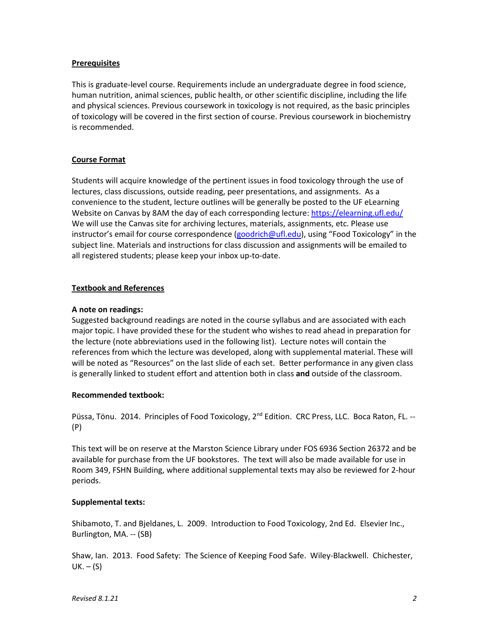### **Prerequisites**

This is graduate-level course. Requirements include an undergraduate degree in food science, human nutrition, animal sciences, public health, or other scientific discipline, including the life and physical sciences. Previous coursework in toxicology is not required, as the basic principles of toxicology will be covered in the first section of course. Previous coursework in biochemistry is recommended.

### **Course Format**

Students will acquire knowledge of the pertinent issues in food toxicology through the use of lectures, class discussions, outside reading, peer presentations, and assignments. As a convenience to the student, lecture outlines will be generally be posted to the UF eLearning Website on Canvas by 8AM the day of each corresponding lecture[: https://elearning.ufl.edu/](https://elearning.ufl.edu/) We will use the Canvas site for archiving lectures, materials, assignments, etc. Please use instructor's email for course correspondence [\(goodrich@ufl.edu\)](mailto:goodrich@ufl.edu), using "Food Toxicology" in the subject line. Materials and instructions for class discussion and assignments will be emailed to all registered students; please keep your inbox up-to-date.

### **Textbook and References**

### **A note on readings:**

Suggested background readings are noted in the course syllabus and are associated with each major topic. I have provided these for the student who wishes to read ahead in preparation for the lecture (note abbreviations used in the following list). Lecture notes will contain the references from which the lecture was developed, along with supplemental material. These will will be noted as "Resources" on the last slide of each set. Better performance in any given class is generally linked to student effort and attention both in class **and** outside of the classroom.

## **Recommended textbook:**

Püssa, Tönu. 2014. Principles of Food Toxicology, 2<sup>nd</sup> Edition. CRC Press, LLC. Boca Raton, FL. --(P)

This text will be on reserve at the Marston Science Library under FOS 6936 Section 26372 and be available for purchase from the UF bookstores. The text will also be made available for use in Room 349, FSHN Building, where additional supplemental texts may also be reviewed for 2-hour periods.

## **Supplemental texts:**

Shibamoto, T. and Bjeldanes, L. 2009. Introduction to Food Toxicology, 2nd Ed. Elsevier Inc., Burlington, MA. -- (SB)

Shaw, Ian. 2013. Food Safety: The Science of Keeping Food Safe. Wiley-Blackwell. Chichester,  $UK. - (S)$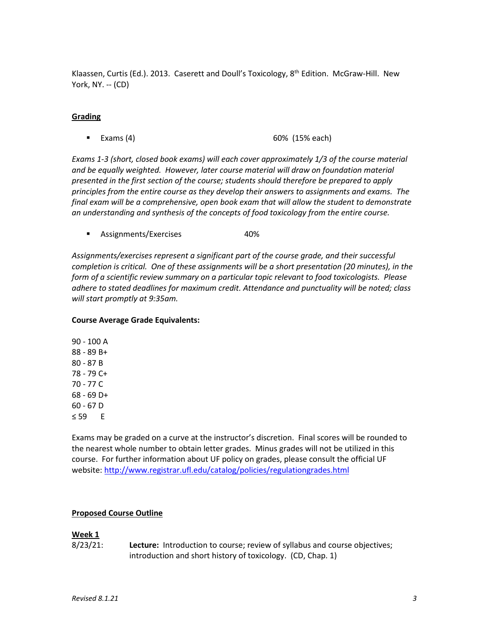Klaassen, Curtis (Ed.). 2013. Caserett and Doull's Toxicology, 8<sup>th</sup> Edition. McGraw-Hill. New York, NY. -- (CD)

### **Grading**

**Exams (4)** 60% (15% each)

*Exams 1-3 (short, closed book exams) will each cover approximately 1/3 of the course material and be equally weighted. However, later course material will draw on foundation material presented in the first section of the course; students should therefore be prepared to apply principles from the entire course as they develop their answers to assignments and exams. The final exam will be a comprehensive, open book exam that will allow the student to demonstrate an understanding and synthesis of the concepts of food toxicology from the entire course.*

**Assignments/Exercises** 40%

*Assignments/exercises represent a significant part of the course grade, and their successful completion is critical. One of these assignments will be a short presentation (20 minutes), in the form of a scientific review summary on a particular topic relevant to food toxicologists. Please adhere to stated deadlines for maximum credit. Attendance and punctuality will be noted; class will start promptly at 9:35am.*

### **Course Average Grade Equivalents:**

90 - 100 A 88 - 89 B+ 80 - 87 B 78 - 79 C+ 70 - 77 C 68 - 69 D+ 60 - 67 D ≤ 59 E

Exams may be graded on a curve at the instructor's discretion. Final scores will be rounded to the nearest whole number to obtain letter grades. Minus grades will not be utilized in this course. For further information about UF policy on grades, please consult the official UF website[: http://www.registrar.ufl.edu/catalog/policies/regulationgrades.html](http://www.registrar.ufl.edu/catalog/policies/regulationgrades.html)

## **Proposed Course Outline**

## **Week 1**

8/23/21: **Lecture:** Introduction to course; review of syllabus and course objectives; introduction and short history of toxicology. (CD, Chap. 1)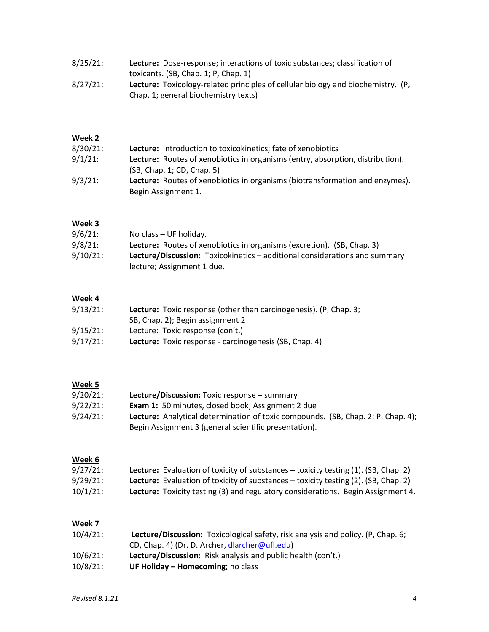| $8/25/21$ : | Lecture: Dose-response; interactions of toxic substances; classification of             |
|-------------|-----------------------------------------------------------------------------------------|
|             | toxicants. $(SB, Chap. 1; P, Chap. 1)$                                                  |
| $8/27/21$ : | <b>Lecture:</b> Toxicology-related principles of cellular biology and biochemistry. (P, |
|             | Chap. 1; general biochemistry texts)                                                    |

# **Week 2**

| $8/30/21$ : | <b>Lecture:</b> Introduction to toxicokinetics; fate of xenobiotics            |
|-------------|--------------------------------------------------------------------------------|
| $9/1/21$ :  | Lecture: Routes of xenobiotics in organisms (entry, absorption, distribution). |
|             | (SB, Chap. 1; CD, Chap. 5)                                                     |
| $9/3/21$ :  | Lecture: Routes of xenobiotics in organisms (biotransformation and enzymes).   |
|             | Begin Assignment 1.                                                            |

# **Week 3**

| $9/6/21$ :  | No class – UF holiday.                                                        |
|-------------|-------------------------------------------------------------------------------|
| $9/8/21$ :  | <b>Lecture:</b> Routes of xenobiotics in organisms (excretion). (SB, Chap. 3) |
| $9/10/21$ : | Lecture/Discussion: Toxicokinetics – additional considerations and summary    |
|             | lecture; Assignment 1 due.                                                    |

# **Week 4**

| $9/13/21$ : | <b>Lecture:</b> Toxic response (other than carcinogenesis). (P, Chap. 3; |
|-------------|--------------------------------------------------------------------------|
|             | SB, Chap. 2); Begin assignment 2                                         |
| $9/15/21$ : | Lecture: Toxic response (con't.)                                         |
| $9/17/21$ : | Lecture: Toxic response - carcinogenesis (SB, Chap. 4)                   |

# **Week 5**

| $9/20/21$ : | Lecture/Discussion: Toxic response - summary                                                                                                     |
|-------------|--------------------------------------------------------------------------------------------------------------------------------------------------|
| $9/22/21$ : | <b>Exam 1:</b> 50 minutes, closed book; Assignment 2 due                                                                                         |
| $9/24/21$ : | <b>Lecture:</b> Analytical determination of toxic compounds. (SB, Chap. 2; P, Chap. 4);<br>Begin Assignment 3 (general scientific presentation). |

# **Week 6**

| $9/27/21$ : | <b>Lecture:</b> Evaluation of toxicity of substances $-$ toxicity testing $(1)$ . (SB, Chap. 2) |
|-------------|-------------------------------------------------------------------------------------------------|
| $9/29/21$ : | <b>Lecture:</b> Evaluation of toxicity of substances – toxicity testing (2). (SB, Chap. 2)      |
| $10/1/21$ : | Lecture: Toxicity testing (3) and regulatory considerations. Begin Assignment 4.                |

## **Week 7**

| $10/4/21$ : | Lecture/Discussion: Toxicological safety, risk analysis and policy. (P, Chap. 6; |
|-------------|----------------------------------------------------------------------------------|
|             | CD, Chap. 4) (Dr. D. Archer, dlarcher@ufl.edu)                                   |
| $10/6/21$ : | <b>Lecture/Discussion:</b> Risk analysis and public health (con't.)              |
| $10/8/21$ : | UF Holiday $-$ Homecoming; no class                                              |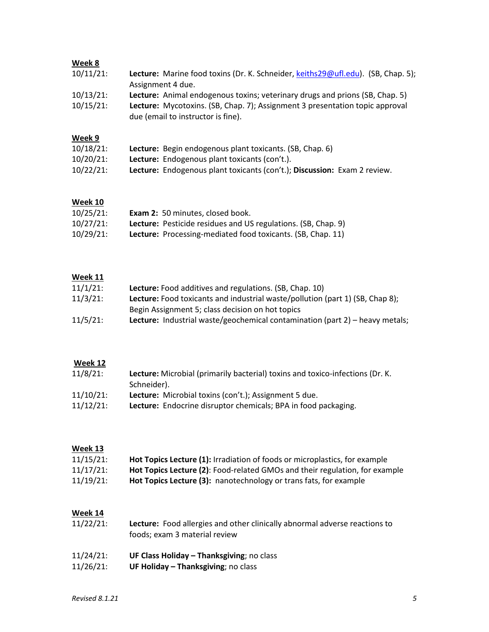# **Week 8**

| $10/11/21$ :                 | Lecture: Marine food toxins (Dr. K. Schneider, keiths29@ufl.edu). (SB, Chap. 5);<br>Assignment 4 due.                                                                                              |
|------------------------------|----------------------------------------------------------------------------------------------------------------------------------------------------------------------------------------------------|
| $10/13/21$ :<br>$10/15/21$ : | Lecture: Animal endogenous toxins; veterinary drugs and prions (SB, Chap. 5)<br>Lecture: Mycotoxins. (SB, Chap. 7); Assignment 3 presentation topic approval<br>due (email to instructor is fine). |
| Week 9                       |                                                                                                                                                                                                    |
| $10/18/21$ :                 | <b>Lecture:</b> Begin endogenous plant toxicants. (SB, Chap. 6)                                                                                                                                    |
| $10/20/21$ :                 | <b>Lecture:</b> Endogenous plant toxicants (con't.).                                                                                                                                               |
| $10/22/21$ :                 | Lecture: Endogenous plant toxicants (con't.); Discussion: Exam 2 review.                                                                                                                           |

# **Week 10**

| $10/25/21$ : | Exam 2: 50 minutes, closed book.                                     |
|--------------|----------------------------------------------------------------------|
| $10/27/21$ : | <b>Lecture:</b> Pesticide residues and US regulations. (SB, Chap. 9) |
| $10/29/21$ : | Lecture: Processing-mediated food toxicants. (SB, Chap. 11)          |

# **Week 11**

| $11/1/21$ : | <b>Lecture:</b> Food additives and regulations. (SB, Chap. 10)                       |
|-------------|--------------------------------------------------------------------------------------|
| $11/3/21$ : | <b>Lecture:</b> Food toxicants and industrial waste/pollution (part 1) (SB, Chap 8); |
|             | Begin Assignment 5; class decision on hot topics                                     |
| $11/5/21$ : | Lecture: Industrial waste/geochemical contamination (part 2) - heavy metals;         |

## **Week 12**

| $11/8/21$ :  | Lecture: Microbial (primarily bacterial) toxins and toxico-infections (Dr. K. |
|--------------|-------------------------------------------------------------------------------|
|              | Schneider).                                                                   |
| $11/10/21$ : | Lecture: Microbial toxins (con't.); Assignment 5 due.                         |
| $11/12/21$ : | <b>Lecture:</b> Endocrine disruptor chemicals; BPA in food packaging.         |

# **Week 13**

| $11/15/21$ : | Hot Topics Lecture (1): Irradiation of foods or microplastics, for example  |
|--------------|-----------------------------------------------------------------------------|
| $11/17/21$ : | Hot Topics Lecture (2): Food-related GMOs and their regulation, for example |
| $11/19/21$ : | Hot Topics Lecture (3): nanotechnology or trans fats, for example           |

## **Week 14**

| $11/22/21$ : | Lecture: Food allergies and other clinically abnormal adverse reactions to<br>foods; exam 3 material review |
|--------------|-------------------------------------------------------------------------------------------------------------|
| 11/24/21:    | UF Class Holiday - Thanksgiving; no class                                                                   |
| $11/26/21$ : | UF Holiday - Thanksgiving; no class                                                                         |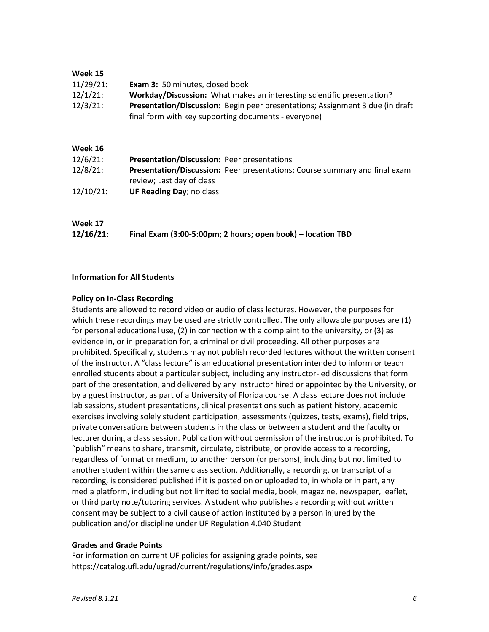### **Week 15**

| 11/29/21:   | <b>Exam 3:</b> 50 minutes, closed book                                         |
|-------------|--------------------------------------------------------------------------------|
| $12/1/21$ : | Workday/Discussion: What makes an interesting scientific presentation?         |
| $12/3/21$ : | Presentation/Discussion: Begin peer presentations; Assignment 3 due (in draft) |
|             | final form with key supporting documents - everyone)                           |

## **Week 16**

| $12/6/21$ :  | Presentation/Discussion: Peer presentations                                       |
|--------------|-----------------------------------------------------------------------------------|
| $12/8/21$ :  | <b>Presentation/Discussion:</b> Peer presentations; Course summary and final exam |
|              | review; Last day of class                                                         |
| $12/10/21$ : | <b>UF Reading Day</b> ; no class                                                  |

# **Week 17**

| 12/16/21: | Final Exam (3:00-5:00pm; 2 hours; open book) - location TBD |
|-----------|-------------------------------------------------------------|
|-----------|-------------------------------------------------------------|

### **Information for All Students**

### **Policy on In-Class Recording**

Students are allowed to record video or audio of class lectures. However, the purposes for which these recordings may be used are strictly controlled. The only allowable purposes are (1) for personal educational use, (2) in connection with a complaint to the university, or (3) as evidence in, or in preparation for, a criminal or civil proceeding. All other purposes are prohibited. Specifically, students may not publish recorded lectures without the written consent of the instructor. A "class lecture" is an educational presentation intended to inform or teach enrolled students about a particular subject, including any instructor-led discussions that form part of the presentation, and delivered by any instructor hired or appointed by the University, or by a guest instructor, as part of a University of Florida course. A class lecture does not include lab sessions, student presentations, clinical presentations such as patient history, academic exercises involving solely student participation, assessments (quizzes, tests, exams), field trips, private conversations between students in the class or between a student and the faculty or lecturer during a class session. Publication without permission of the instructor is prohibited. To "publish" means to share, transmit, circulate, distribute, or provide access to a recording, regardless of format or medium, to another person (or persons), including but not limited to another student within the same class section. Additionally, a recording, or transcript of a recording, is considered published if it is posted on or uploaded to, in whole or in part, any media platform, including but not limited to social media, book, magazine, newspaper, leaflet, or third party note/tutoring services. A student who publishes a recording without written consent may be subject to a civil cause of action instituted by a person injured by the publication and/or discipline under UF Regulation 4.040 Student

#### **Grades and Grade Points**

For information on current UF policies for assigning grade points, see https://catalog.ufl.edu/ugrad/current/regulations/info/grades.aspx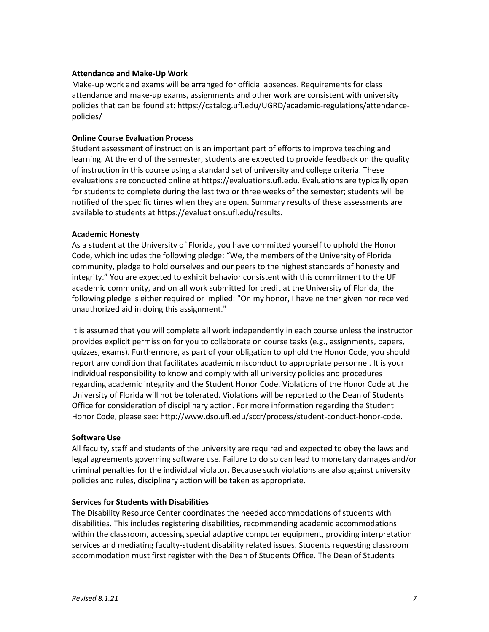### **Attendance and Make-Up Work**

Make-up work and exams will be arranged for official absences. Requirements for class attendance and make-up exams, assignments and other work are consistent with university policies that can be found at: https://catalog.ufl.edu/UGRD/academic-regulations/attendancepolicies/

### **Online Course Evaluation Process**

Student assessment of instruction is an important part of efforts to improve teaching and learning. At the end of the semester, students are expected to provide feedback on the quality of instruction in this course using a standard set of university and college criteria. These evaluations are conducted online at https://evaluations.ufl.edu. Evaluations are typically open for students to complete during the last two or three weeks of the semester; students will be notified of the specific times when they are open. Summary results of these assessments are available to students at https://evaluations.ufl.edu/results.

### **Academic Honesty**

As a student at the University of Florida, you have committed yourself to uphold the Honor Code, which includes the following pledge: "We, the members of the University of Florida community, pledge to hold ourselves and our peers to the highest standards of honesty and integrity." You are expected to exhibit behavior consistent with this commitment to the UF academic community, and on all work submitted for credit at the University of Florida, the following pledge is either required or implied: "On my honor, I have neither given nor received unauthorized aid in doing this assignment."

It is assumed that you will complete all work independently in each course unless the instructor provides explicit permission for you to collaborate on course tasks (e.g., assignments, papers, quizzes, exams). Furthermore, as part of your obligation to uphold the Honor Code, you should report any condition that facilitates academic misconduct to appropriate personnel. It is your individual responsibility to know and comply with all university policies and procedures regarding academic integrity and the Student Honor Code. Violations of the Honor Code at the University of Florida will not be tolerated. Violations will be reported to the Dean of Students Office for consideration of disciplinary action. For more information regarding the Student Honor Code, please see: http://www.dso.ufl.edu/sccr/process/student-conduct-honor-code.

#### **Software Use**

All faculty, staff and students of the university are required and expected to obey the laws and legal agreements governing software use. Failure to do so can lead to monetary damages and/or criminal penalties for the individual violator. Because such violations are also against university policies and rules, disciplinary action will be taken as appropriate.

#### **Services for Students with Disabilities**

The Disability Resource Center coordinates the needed accommodations of students with disabilities. This includes registering disabilities, recommending academic accommodations within the classroom, accessing special adaptive computer equipment, providing interpretation services and mediating faculty-student disability related issues. Students requesting classroom accommodation must first register with the Dean of Students Office. The Dean of Students